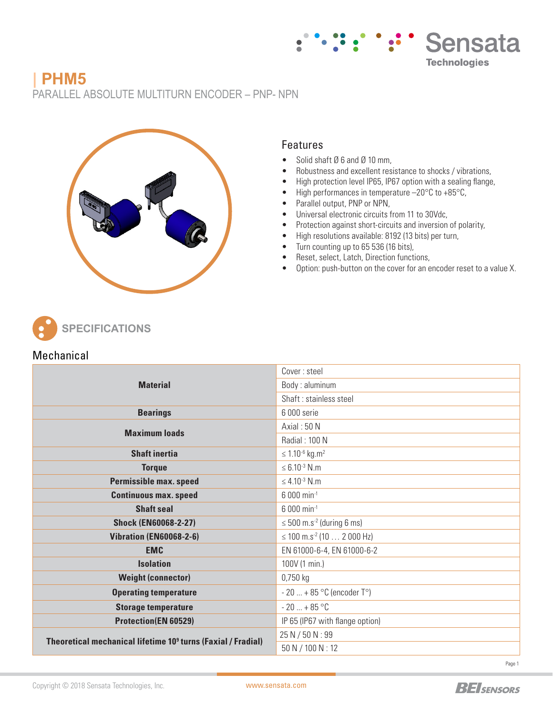# **| PHM5** PARALLEL ABSOLUTE MULTITURN ENCODER – PNP- NPN



## Features

- Solid shaft Ø 6 and Ø 10 mm,
- Robustness and excellent resistance to shocks / vibrations,

Sensata

**Technologies** 

- High protection level IP65, IP67 option with a sealing flange,
- High performances in temperature -20°C to +85°C,
- Parallel output, PNP or NPN,
- Universal electronic circuits from 11 to 30Vdc,
- Protection against short-circuits and inversion of polarity,
- High resolutions available: 8192 (13 bits) per turn,
- Turn counting up to 65 536 (16 bits),
- Reset, select, Latch, Direction functions,
- Option: push-button on the cover for an encoder reset to a value X.



## Mechanical

|                                                                          | Cover: steel                                                                                                                                                             |  |  |  |  |  |  |
|--------------------------------------------------------------------------|--------------------------------------------------------------------------------------------------------------------------------------------------------------------------|--|--|--|--|--|--|
| <b>Material</b>                                                          | Body: aluminum                                                                                                                                                           |  |  |  |  |  |  |
|                                                                          | Shaft: stainless steel                                                                                                                                                   |  |  |  |  |  |  |
| <b>Bearings</b>                                                          | 6 000 serie                                                                                                                                                              |  |  |  |  |  |  |
| <b>Maximum loads</b>                                                     | Axial: $50 N$                                                                                                                                                            |  |  |  |  |  |  |
|                                                                          | Radial: 100 N                                                                                                                                                            |  |  |  |  |  |  |
| <b>Shaft inertia</b>                                                     | $\leq 1.10^{-6}$ kg.m <sup>2</sup>                                                                                                                                       |  |  |  |  |  |  |
| <b>Torque</b>                                                            | $\leq 6.10^{-3}$ N.m.                                                                                                                                                    |  |  |  |  |  |  |
| <b>Permissible max. speed</b>                                            | $\leq 4.10^{-3}$ N.m.<br>6 000 min <sup>-1</sup><br>6 000 min <sup>-1</sup><br>$\leq$ 500 m.s <sup>-2</sup> (during 6 ms)<br>$\leq$ 100 m.s <sup>-2</sup> (10  2 000 Hz) |  |  |  |  |  |  |
| <b>Continuous max. speed</b>                                             |                                                                                                                                                                          |  |  |  |  |  |  |
| <b>Shaft seal</b>                                                        |                                                                                                                                                                          |  |  |  |  |  |  |
| <b>Shock (EN60068-2-27)</b>                                              |                                                                                                                                                                          |  |  |  |  |  |  |
| <b>Vibration (EN60068-2-6)</b>                                           |                                                                                                                                                                          |  |  |  |  |  |  |
| <b>EMC</b>                                                               | EN 61000-6-4, EN 61000-6-2                                                                                                                                               |  |  |  |  |  |  |
| <b>Isolation</b>                                                         | 100V (1 min.)                                                                                                                                                            |  |  |  |  |  |  |
| <b>Weight (connector)</b>                                                | 0,750 kg                                                                                                                                                                 |  |  |  |  |  |  |
| <b>Operating temperature</b>                                             | $-20 + 85 °C$ (encoder T°)                                                                                                                                               |  |  |  |  |  |  |
| <b>Storage temperature</b>                                               | $-20+85$ °C                                                                                                                                                              |  |  |  |  |  |  |
| <b>Protection(EN 60529)</b>                                              | IP 65 (IP67 with flange option)                                                                                                                                          |  |  |  |  |  |  |
| Theoretical mechanical lifetime 10 <sup>9</sup> turns (Faxial / Fradial) | 25 N / 50 N : 99                                                                                                                                                         |  |  |  |  |  |  |
|                                                                          | 50 N / 100 N : 12                                                                                                                                                        |  |  |  |  |  |  |

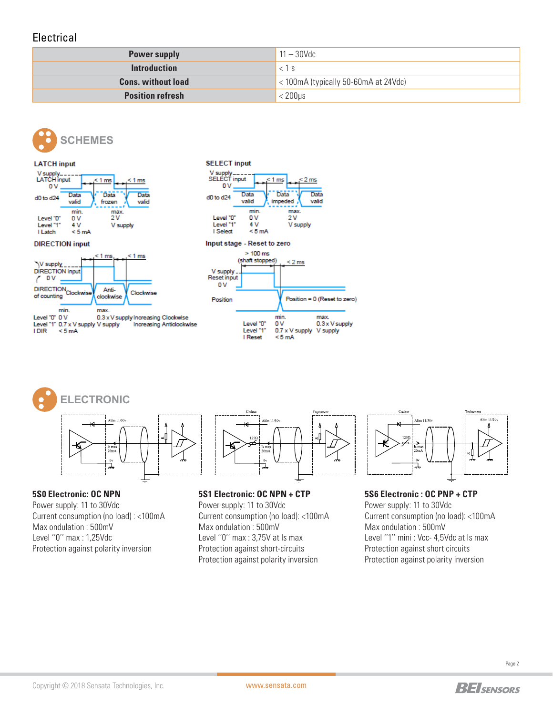# **Electrical**

| <b>Power supply</b>       | $11-30$ Vdc                          |
|---------------------------|--------------------------------------|
| <b>Introduction</b>       | $<$ 1 s                              |
| <b>Cons. without load</b> | < 100mA (typically 50-60mA at 24Vdc) |
| <b>Position refresh</b>   | < 200µs                              |





Level "1" 0.7 x V supply V supply Increasing Anticlockwise **IDIR**  $< 5 mA$ 



**5S0 Electronic: OC NPN** Power supply: 11 to 30Vdc Current consumption (no load) : <100mA Max ondulation : 500mV Level ''0'' max : 1,25Vdc Protection against polarity inversion

**5S1 Electronic: OC NPN + CTP** Power supply: 11 to 30Vdc Current consumption (no load): <100mA Max ondulation : 500mV Level ''0'' max : 3,75V at Is max Protection against short-circuits Protection against polarity inversion

Level "1"

I Reset

0.7 x V supply

 $< 5 mA$ 

V supply



**5S6 Electronic : OC PNP + CTP** Power supply: 11 to 30Vdc Current consumption (no load): <100mA Max ondulation : 500mV Level "1" mini : Vcc- 4,5Vdc at Is max Protection against short circuits Protection against polarity inversion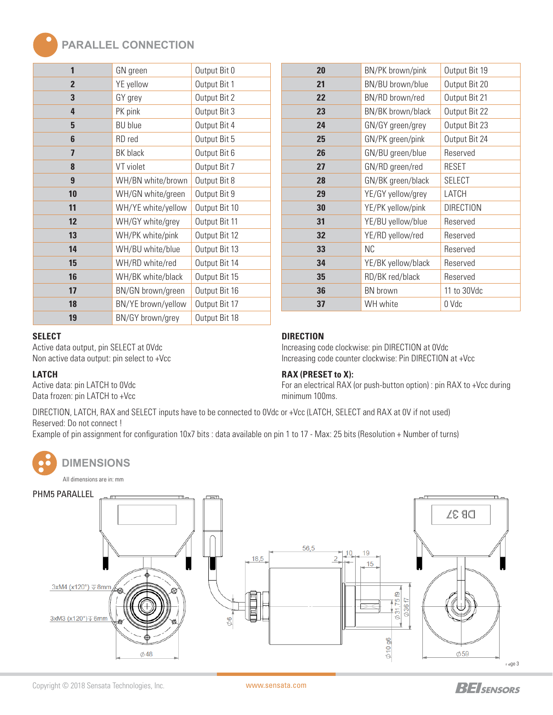# **PARALLEL CONNECTION**

| 1              | GN green           | Output Bit 0  |  |  |  |  |
|----------------|--------------------|---------------|--|--|--|--|
| $\overline{2}$ | YE yellow          | Output Bit 1  |  |  |  |  |
| 3              | GY grey            | Output Bit 2  |  |  |  |  |
| 4              | PK pink            | Output Bit 3  |  |  |  |  |
| 5              | <b>BU</b> blue     | Output Bit 4  |  |  |  |  |
| 6              | RD red             | Output Bit 5  |  |  |  |  |
| 7              | BK black           | Output Bit 6  |  |  |  |  |
| 8              | VT violet          | Output Bit 7  |  |  |  |  |
| 9              | WH/BN white/brown  | Output Bit 8  |  |  |  |  |
| 10             | WH/GN white/green  | Output Bit 9  |  |  |  |  |
| 11             | WH/YE white/yellow | Output Bit 10 |  |  |  |  |
| 12             | WH/GY white/grey   | Output Bit 11 |  |  |  |  |
| 13             | WH/PK white/pink   | Output Bit 12 |  |  |  |  |
| 14             | WH/BU white/blue   | Output Bit 13 |  |  |  |  |
| 15             | WH/RD white/red    | Output Bit 14 |  |  |  |  |
| 16             | WH/BK white/black  | Output Bit 15 |  |  |  |  |
| 17             | BN/GN brown/green  | Output Bit 16 |  |  |  |  |
| 18             | BN/YE brown/yellow | Output Bit 17 |  |  |  |  |
| 19             | BN/GY brown/grey   | Output Bit 18 |  |  |  |  |

| 20 | BN/PK brown/pink   | Output Bit 19    |  |  |  |
|----|--------------------|------------------|--|--|--|
| 21 | BN/BU brown/blue   | Output Bit 20    |  |  |  |
| 22 | BN/RD brown/red    | Output Bit 21    |  |  |  |
| 23 | BN/BK brown/black  | Output Bit 22    |  |  |  |
| 24 | GN/GY green/grey   | Output Bit 23    |  |  |  |
| 25 | GN/PK green/pink   | Output Bit 24    |  |  |  |
| 26 | GN/BU green/blue   | Reserved         |  |  |  |
| 27 | GN/RD green/red    | <b>RESET</b>     |  |  |  |
| 28 | GN/BK green/black  | <b>SELECT</b>    |  |  |  |
| 29 | YE/GY yellow/grey  | LATCH            |  |  |  |
| 30 | YE/PK yellow/pink  | <b>DIRECTION</b> |  |  |  |
| 31 | YE/BU yellow/blue  | Reserved         |  |  |  |
| 32 | YE/RD yellow/red   | Reserved         |  |  |  |
| 33 | ΝC                 | Reserved         |  |  |  |
| 34 | YE/BK yellow/black | Reserved         |  |  |  |
| 35 | RD/BK red/black    | Reserved         |  |  |  |
| 36 | <b>BN</b> brown    | 11 to 30Vdc      |  |  |  |
| 37 | WH white           | 0 Vdc            |  |  |  |
|    |                    |                  |  |  |  |

#### **SELECT**

Active data output, pin SELECT at 0Vdc Non active data output: pin select to +Vcc

#### **LATCH**

Active data: pin LATCH to 0Vdc Data frozen: pin LATCH to +Vcc

# **DIRECTION**

Increasing code clockwise: pin DIRECTION at 0Vdc Increasing code counter clockwise: Pin DIRECTION at +Vcc

#### **RAX (PRESET to X):**

For an electrical RAX (or push-button option) : pin RAX to +Vcc during minimum 100ms.

DIRECTION, LATCH, RAX and SELECT inputs have to be connected to 0Vdc or +Vcc (LATCH, SELECT and RAX at 0V if not used) Reserved: Do not connect !

Example of pin assignment for configuration 10x7 bits : data available on pin 1 to 17 - Max: 25 bits (Resolution + Number of turns)